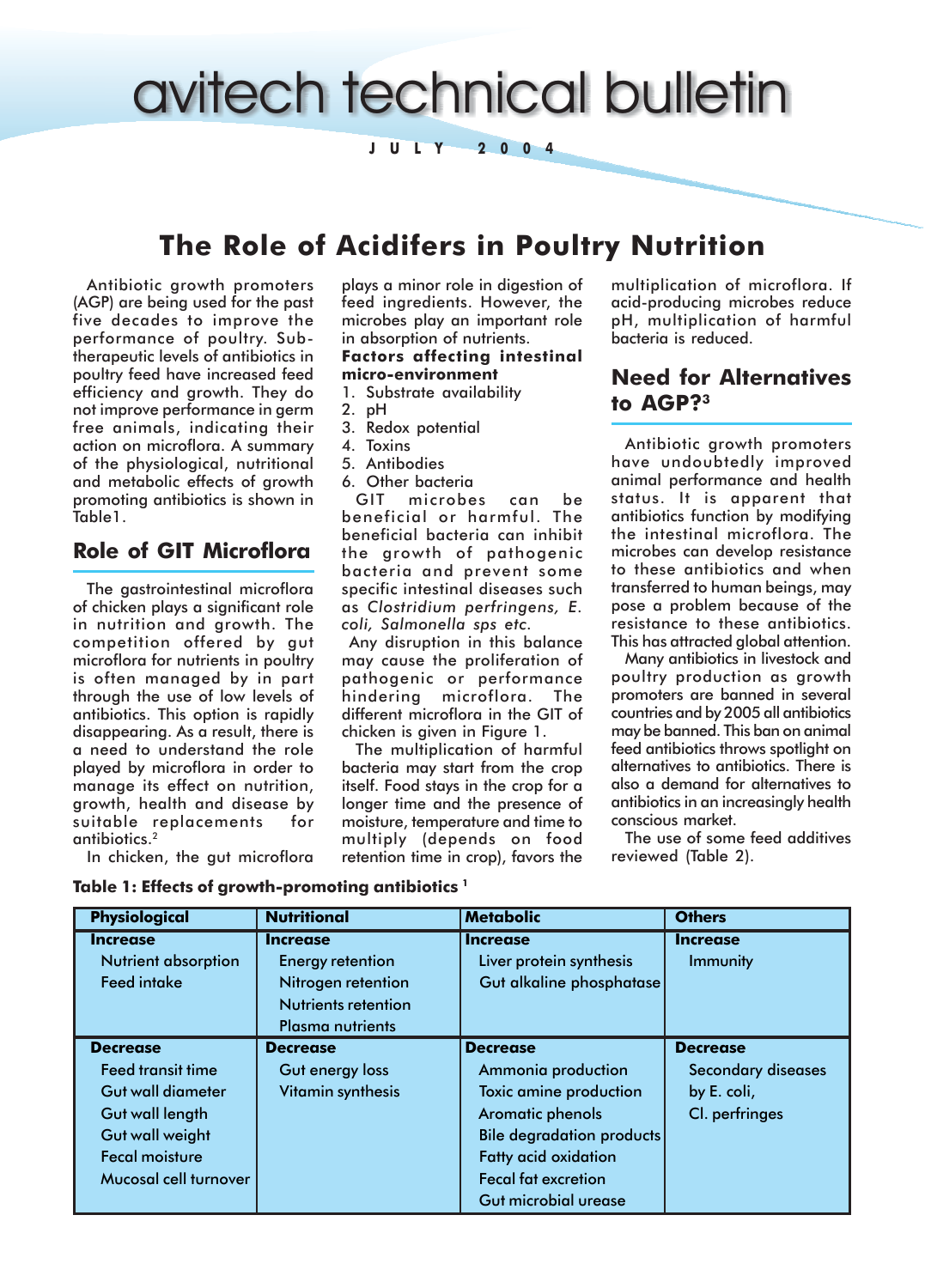# avitech technical bulletin

**JULY 2004**

# **The Role of Acidifers in Poultry Nutrition**

Antibiotic growth promoters (AGP) are being used for the past five decades to improve the performance of poultry. Subtherapeutic levels of antibiotics in poultry feed have increased feed efficiency and growth. They do not improve performance in germ free animals, indicating their action on microflora. A summary of the physiological, nutritional and metabolic effects of growth promoting antibiotics is shown in Table1.

### **Role of GIT Microflora**

The gastrointestinal microflora of chicken plays a significant role in nutrition and growth. The competition offered by gut microflora for nutrients in poultry is often managed by in part through the use of low levels of antibiotics. This option is rapidly disappearing. As a result, there is a need to understand the role played by microflora in order to manage its effect on nutrition, growth, health and disease by suitable replacements for antibiotics.2

In chicken, the gut microflora

plays a minor role in digestion of feed ingredients. However, the microbes play an important role in absorption of nutrients.

#### **Factors affecting intestinal micro-environment**

- 1. Substrate availability
- 2. pH
- 3. Redox potential
- 4. Toxins
- 5. Antibodies
- 6. Other bacteria

GIT microbes can be beneficial or harmful. The beneficial bacteria can inhibit the growth of pathogenic bacteria and prevent some specific intestinal diseases such as *Clostridium perfringens, E. coli, Salmonella sps etc.*

 Any disruption in this balance may cause the proliferation of pathogenic or performance hindering microflora. The different microflora in the GIT of chicken is given in Figure 1.

The multiplication of harmful bacteria may start from the crop itself. Food stays in the crop for a longer time and the presence of moisture, temperature and time to multiply (depends on food retention time in crop), favors the

multiplication of microflora. If acid-producing microbes reduce pH, multiplication of harmful bacteria is reduced.

# **Need for Alternatives to AGP?3**

Antibiotic growth promoters have undoubtedly improved animal performance and health status. It is apparent that antibiotics function by modifying the intestinal microflora. The microbes can develop resistance to these antibiotics and when transferred to human beings, may pose a problem because of the resistance to these antibiotics. This has attracted global attention.

Many antibiotics in livestock and poultry production as growth promoters are banned in several countries and by 2005 all antibiotics may be banned. This ban on animal feed antibiotics throws spotlight on alternatives to antibiotics. There is also a demand for alternatives to antibiotics in an increasingly health conscious market.

The use of some feed additives reviewed (Table 2).

| <b>Physiological</b>       | <b>Nutritional</b>      | <b>Metabolic</b>                 | <b>Others</b>             |
|----------------------------|-------------------------|----------------------------------|---------------------------|
| Increase                   | Increase                | <b>Increase</b>                  | <b>Increase</b>           |
| <b>Nutrient absorption</b> | <b>Energy retention</b> | Liver protein synthesis          | Immunity                  |
| <b>Feed intake</b>         | Nitrogen retention      | Gut alkaline phosphatase         |                           |
|                            | Nutrients retention     |                                  |                           |
|                            | <b>Plasma nutrients</b> |                                  |                           |
| Decrease                   | Decrease                | <b>Decrease</b>                  | <b>Decrease</b>           |
| Feed transit time          | Gut energy loss         | Ammonia production               | <b>Secondary diseases</b> |
| Gut wall diameter          | Vitamin synthesis       | Toxic amine production           | by E. coli,               |
| Gut wall length            |                         | Aromatic phenols                 | Cl. perfringes            |
| <b>Gut wall weight</b>     |                         | <b>Bile degradation products</b> |                           |
| <b>Fecal moisture</b>      |                         | <b>Fatty acid oxidation</b>      |                           |
| Mucosal cell turnover      |                         | <b>Fecal fat excretion</b>       |                           |
|                            |                         | Gut microbial urease             |                           |

### **Table 1: Effects of growth-promoting antibiotics 1**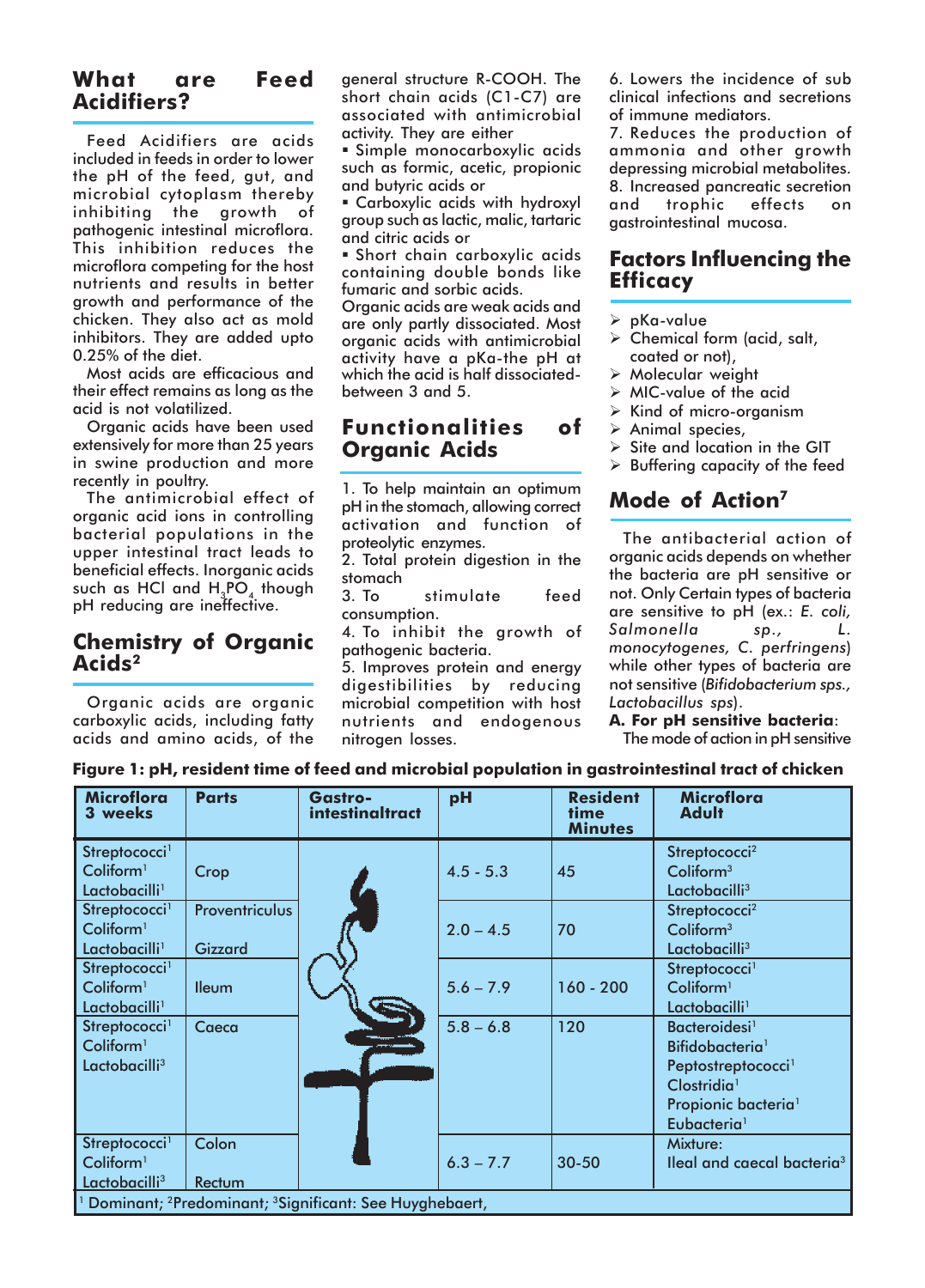# **What are Feed Acidifiers?**

Feed Acidifiers are acids included in feeds in order to lower the pH of the feed, gut, and microbial cytoplasm thereby inhibiting the growth of pathogenic intestinal microflora. This inhibition reduces the microflora competing for the host nutrients and results in better growth and performance of the chicken. They also act as mold inhibitors. They are added upto 0.25% of the diet.

Most acids are efficacious and their effect remains as long as the acid is not volatilized.

Organic acids have been used extensively for more than 25 years in swine production and more recently in poultry.

The antimicrobial effect of organic acid ions in controlling bacterial populations in the upper intestinal tract leads to beneficial effects. Inorganic acids such as HCl and H<sub>2</sub>PO, though pH reducing are ineffective.

# **Chemistry of Organic Acids2**

Organic acids are organic carboxylic acids, including fatty acids and amino acids, of the general structure R-COOH. The short chain acids (C1-C7) are associated with antimicrobial activity. They are either

" Simple monocarboxylic acids such as formic, acetic, propionic and butyric acids or

**E** Carboxylic acids with hydroxyl group such as lactic, malic, tartaric and citric acids or

**Short chain carboxylic acids** containing double bonds like fumaric and sorbic acids.

Organic acids are weak acids and are only partly dissociated. Most organic acids with antimicrobial activity have a pKa-the pH at which the acid is half dissociatedbetween 3 and 5.

### **Functionalities of Organic Acids**

1. To help maintain an optimum pH in the stomach, allowing correct activation and function of proteolytic enzymes.

2. Total protein digestion in the stomach

3. To stimulate feed consumption.

4. To inhibit the growth of pathogenic bacteria.

5. Improves protein and energy digestibilities by reducing microbial competition with host nutrients and endogenous nitrogen losses.

6. Lowers the incidence of sub clinical infections and secretions of immune mediators.

7. Reduces the production of ammonia and other growth depressing microbial metabolites. 8. Increased pancreatic secretion and trophic effects on gastrointestinal mucosa.

## **Factors Influencing the Efficacy**

- $\triangleright$  pKa-value
- $\triangleright$  Chemical form (acid, salt, coated or not),
- $\triangleright$  Molecular weight
- $\triangleright$  MIC-value of the acid
- $\triangleright$  Kind of micro-organism
- $\triangleright$  Animal species,
- $\triangleright$  Site and location in the GIT
- $\triangleright$  Buffering capacity of the feed

# **Mode of Action7**

The antibacterial action of organic acids depends on whether the bacteria are pH sensitive or not. Only Certain types of bacteria are sensitive to pH (ex.: *E. coli, Salmonella sp., L. monocytogenes, C. perfringens*) while other types of bacteria are not sensitive (*Bifidobacterium sps., Lactobacillus sps*).

#### **A. For pH sensitive bacteria**:

The mode of action in pH sensitive

|  |  | Figure 1: pH, resident time of feed and microbial population in gastrointestinal tract of chicken |  |
|--|--|---------------------------------------------------------------------------------------------------|--|
|  |  |                                                                                                   |  |

| <b>Microflora</b><br>3 weeks                                                   | <b>Parts</b>          | <b>Gastro-</b><br><b>intestinaltract</b> | pH          | <b>Resident</b><br>time<br><b>Minutes</b> | <b>Microflora</b><br><b>Adult</b>      |
|--------------------------------------------------------------------------------|-----------------------|------------------------------------------|-------------|-------------------------------------------|----------------------------------------|
| Streptococci <sup>1</sup>                                                      |                       |                                          |             |                                           | Streptococci <sup>2</sup>              |
| Coliform <sup>1</sup>                                                          | Crop                  |                                          | $4.5 - 5.3$ | 45                                        | Coliform <sup>3</sup>                  |
| Lactobacilli <sup>1</sup>                                                      |                       |                                          |             |                                           | Lactobacilli <sup>3</sup>              |
| Streptococci <sup>1</sup>                                                      | <b>Proventriculus</b> |                                          |             |                                           | Streptococci <sup>2</sup>              |
| Coliform <sup>1</sup>                                                          |                       |                                          | $2.0 - 4.5$ | 70                                        | Coliform <sup>3</sup>                  |
| Lactobacilli <sup>1</sup>                                                      | <b>Gizzard</b>        |                                          |             |                                           | Lactobacilli <sup>3</sup>              |
| Streptococci <sup>1</sup>                                                      |                       |                                          |             |                                           | Streptococci <sup>1</sup>              |
| Coliform <sup>1</sup>                                                          | lleum                 |                                          | $5.6 - 7.9$ | $160 - 200$                               | Coliform <sup>1</sup>                  |
| Lactobacilli <sup>1</sup>                                                      |                       |                                          |             |                                           | Lactobacilli <sup>1</sup>              |
| Streptococci <sup>1</sup>                                                      | Caeca                 |                                          | $5.8 - 6.8$ | 120                                       | Bacteroidesi <sup>1</sup>              |
| Coliform <sup>1</sup>                                                          |                       |                                          |             |                                           | Bifidobacteria <sup>1</sup>            |
| Lactobacilli <sup>3</sup>                                                      |                       |                                          |             |                                           | Peptostreptococci <sup>1</sup>         |
|                                                                                |                       |                                          |             |                                           | Clostridia <sup>1</sup>                |
|                                                                                |                       |                                          |             |                                           | Propionic bacteria <sup>1</sup>        |
|                                                                                |                       |                                          |             |                                           | Eubacteria <sup>1</sup>                |
| Streptococci <sup>1</sup>                                                      | Colon                 |                                          |             |                                           | Mixture:                               |
| Coliform <sup>1</sup>                                                          |                       |                                          | $6.3 - 7.7$ | $30 - 50$                                 | lleal and caecal bacteria <sup>3</sup> |
| Lactobacilli <sup>3</sup>                                                      | Rectum                |                                          |             |                                           |                                        |
| Dominant; <sup>2</sup> Predominant; <sup>3</sup> Significant: See Huyghebaert, |                       |                                          |             |                                           |                                        |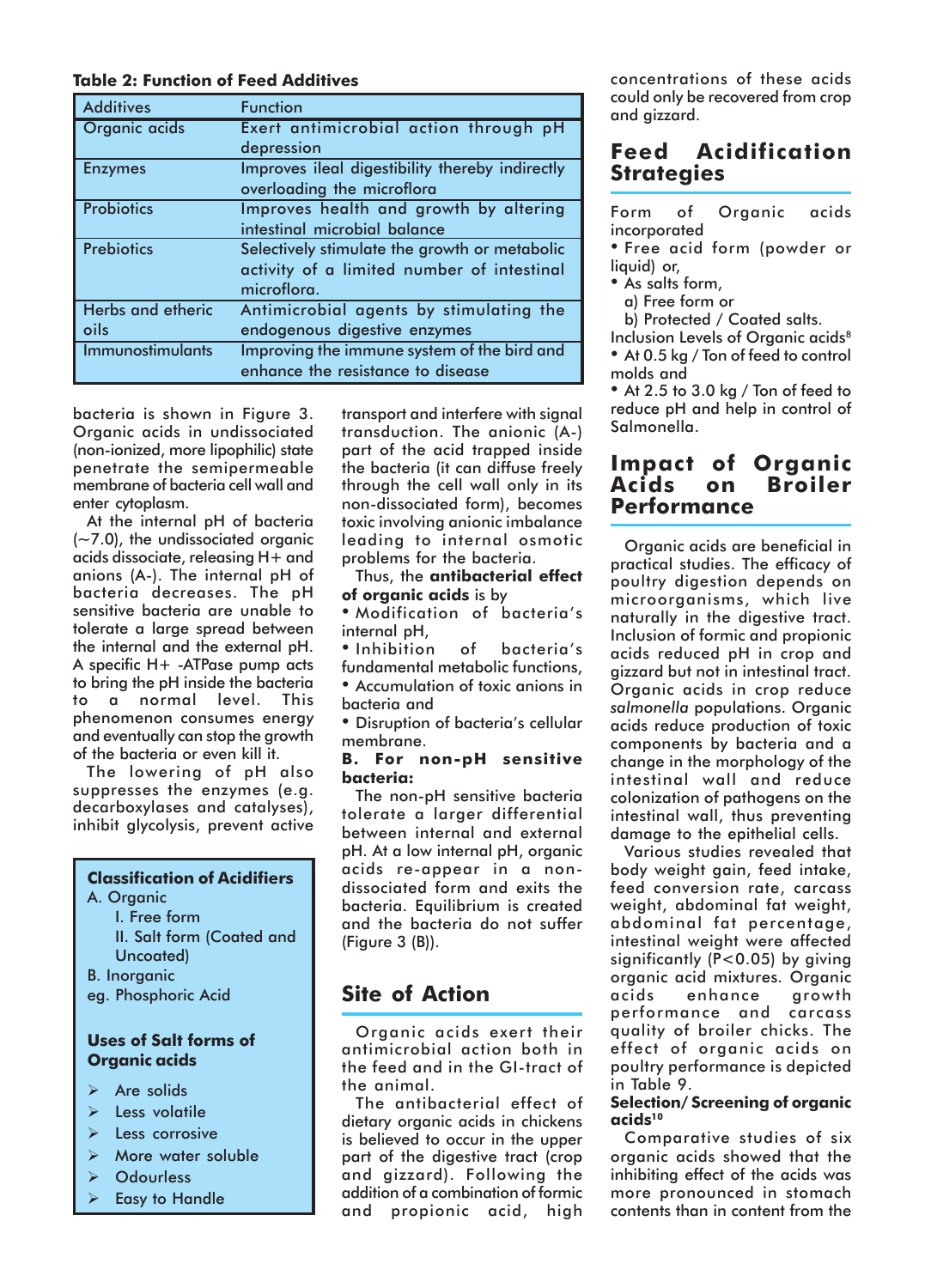### **Table 2: Function of Feed Additives**

| <b>Additives</b>         | <b>Function</b>                                 |
|--------------------------|-------------------------------------------------|
| Organic acids            | Exert antimicrobial action through pH           |
|                          | depression                                      |
| <b>Enzymes</b>           | Improves ileal digestibility thereby indirectly |
|                          | overloading the microflora                      |
| <b>Probiotics</b>        | Improves health and growth by altering          |
|                          | intestinal microbial balance                    |
| <b>Prebiotics</b>        | Selectively stimulate the growth or metabolic   |
|                          | activity of a limited number of intestinal      |
|                          | microflora.                                     |
| <b>Herbs and etheric</b> | Antimicrobial agents by stimulating the         |
| oils                     | endogenous digestive enzymes                    |
| Immunostimulants         | Improving the immune system of the bird and     |
|                          | enhance the resistance to disease               |

bacteria is shown in Figure 3. Organic acids in undissociated (non-ionized, more lipophilic) state penetrate the semipermeable membrane of bacteria cell wall and enter cytoplasm.

At the internal pH of bacteria  $(-7.0)$ , the undissociated organic acids dissociate, releasing H+ and anions (A-). The internal pH of bacteria decreases. The pH sensitive bacteria are unable to tolerate a large spread between the internal and the external pH. A specific H+ -ATPase pump acts to bring the pH inside the bacteria to a normal level. This phenomenon consumes energy and eventually can stop the growth of the bacteria or even kill it.

The lowering of pH also suppresses the enzymes (e.g. decarboxylases and catalyses), inhibit glycolysis, prevent active

### **Classification of Acidifiers**

- A. Organic
	- I. Free form II. Salt form (Coated and Uncoated)
- B. Inorganic
- eg. Phosphoric Acid

### **Uses of Salt forms of Organic acids**

- $\triangleright$  Are solids
- $\triangleright$  Less volatile
- Less corrosive
- More water soluble
- > Odourless
- **Easy to Handle**

transport and interfere with signal transduction. The anionic (A-) part of the acid trapped inside the bacteria (it can diffuse freely through the cell wall only in its non-dissociated form), becomes toxic involving anionic imbalance leading to internal osmotic problems for the bacteria.

Thus, the **antibacterial effect of organic acids** is by

• Modification of bacteria's internal pH,

• Inhibition of bacteria's fundamental metabolic functions,  $\bullet$  Accumulation of toxic anions in bacteria and

**• Disruption of bacteria's cellular** membrane.

### **B. For non-pH sensitive bacteria:**

The non-pH sensitive bacteria tolerate a larger differential between internal and external pH. At a low internal pH, organic acids re-appear in a nondissociated form and exits the bacteria. Equilibrium is created and the bacteria do not suffer (Figure 3 (B)).

# **Site of Action**

Organic acids exert their antimicrobial action both in the feed and in the GI-tract of the animal.

The antibacterial effect of dietary organic acids in chickens is believed to occur in the upper part of the digestive tract (crop and gizzard). Following the addition of a combination of formic and propionic acid, high

concentrations of these acids could only be recovered from crop and gizzard.

# **Feed Acidification Strategies**

|              | Form of Organic acids |  |
|--------------|-----------------------|--|
| incorporated |                       |  |

• Free acid form (powder or liquid) or,

• As salts form,

a) Free form or

b) Protected / Coated salts.

Inclusion Levels of Organic acids<sup>8</sup> • At 0.5 kg / Ton of feed to control molds and

• At 2.5 to 3.0 kg / Ton of feed to reduce pH and help in control of Salmonella.

### **Impact of Organic Acids on Broiler Performance**

Organic acids are beneficial in practical studies. The efficacy of poultry digestion depends on microorganisms, which live naturally in the digestive tract. Inclusion of formic and propionic acids reduced pH in crop and gizzard but not in intestinal tract. Organic acids in crop reduce *salmonella* populations. Organic acids reduce production of toxic components by bacteria and a change in the morphology of the intestinal wall and reduce colonization of pathogens on the intestinal wall, thus preventing damage to the epithelial cells.

Various studies revealed that body weight gain, feed intake, feed conversion rate, carcass weight, abdominal fat weight, abdominal fat percentage, intestinal weight were affected significantly (P<0.05) by giving organic acid mixtures. Organic acids enhance growth performance and carcass quality of broiler chicks. The effect of organic acids on poultry performance is depicted in Table 9.

### **Selection/ Screening of organic acids10**

Comparative studies of six organic acids showed that the inhibiting effect of the acids was more pronounced in stomach contents than in content from the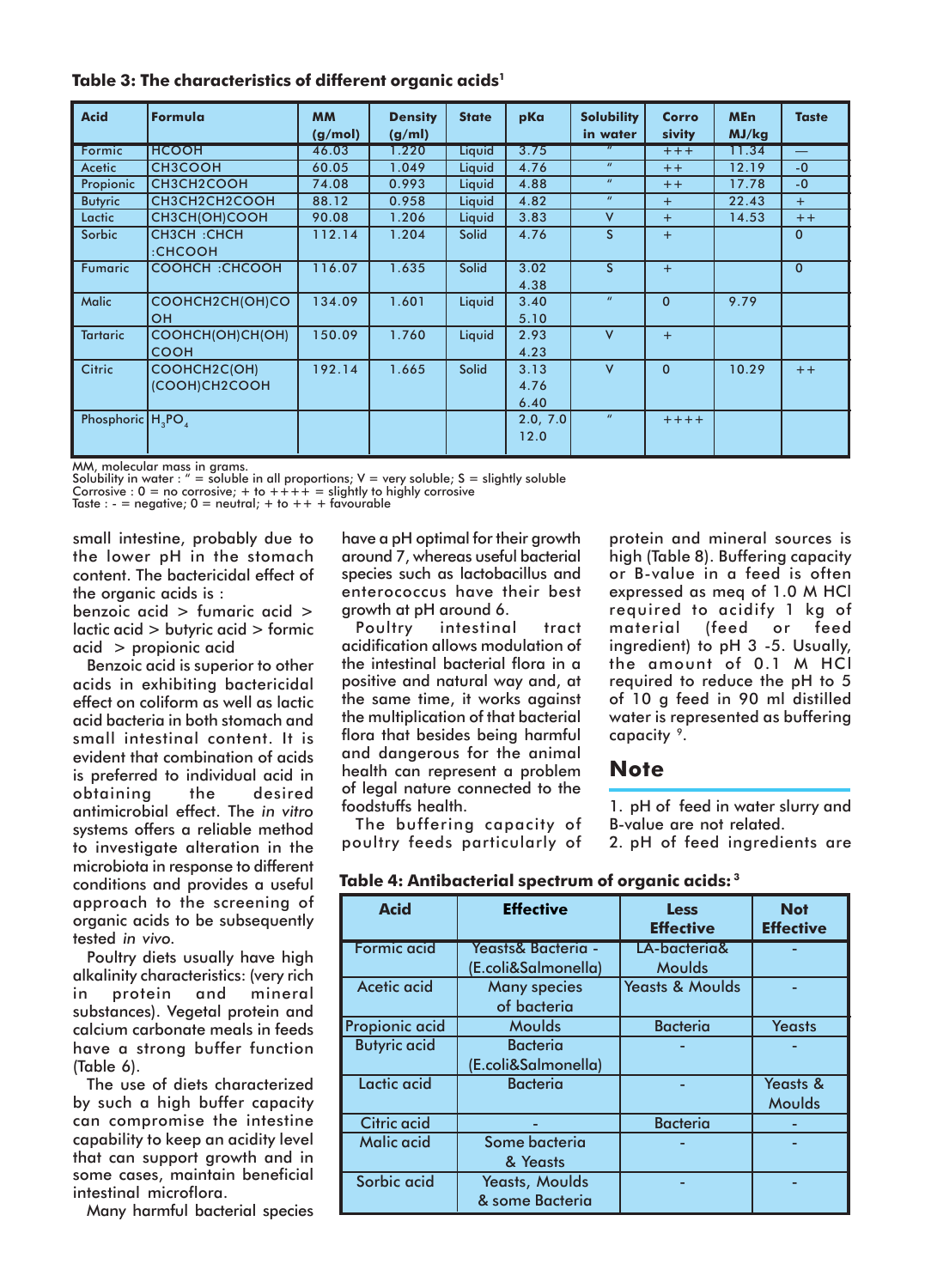|  |  | Table 3: The characteristics of different organic acids <sup>1</sup> |  |  |  |  |
|--|--|----------------------------------------------------------------------|--|--|--|--|
|--|--|----------------------------------------------------------------------|--|--|--|--|

| <b>Acid</b>          | Formula               | <b>MM</b><br>(g/mol) | <b>Density</b><br>(g/ml) | <b>State</b> | pKa      | <b>Solubility</b><br>in water | Corro<br>sivity | <b>MEn</b><br>MJ/kg | <b>Taste</b>             |
|----------------------|-----------------------|----------------------|--------------------------|--------------|----------|-------------------------------|-----------------|---------------------|--------------------------|
| Formic               | <b>HCOOH</b>          | 46.03                | 1.220                    | Liquid       | 3.75     | $\boldsymbol{u}$              | $+++$           | 11.34               | $\overline{\phantom{m}}$ |
| Acetic               | <b>CH3COOH</b>        | 60.05                | 1.049                    | Liquid       | 4.76     | $\boldsymbol{u}$              | $++$            | 12.19               | $-0$                     |
| Propionic            | CH3CH2COOH            | 74.08                | 0.993                    | Liquid       | 4.88     | $\boldsymbol{u}$              | $+ +$           | 17.78               | $-0$                     |
| <b>Butyric</b>       | CH3CH2CH2COOH         | 88.12                | 0.958                    | Liquid       | 4.82     | $\boldsymbol{u}$              | $+$             | 22.43               | $+$                      |
| Lactic               | CH3CH(OH)COOH         | 90.08                | 1.206                    | Liquid       | 3.83     | V                             | $+$             | 14.53               | $++$                     |
| <b>Sorbic</b>        | CH3CH: CHCH           | 112.14               | 1.204                    | <b>Solid</b> | 4.76     | S.                            | $+$             |                     | $\mathbf{0}$             |
|                      | :CHCOOH               |                      |                          |              |          |                               |                 |                     |                          |
| Fumaric              | <b>COOHCH: CHCOOH</b> | 116.07               | 1.635                    | <b>Solid</b> | 3.02     | S.                            | $+$             |                     | $\mathbf{0}$             |
|                      |                       |                      |                          |              | 4.38     |                               |                 |                     |                          |
| <b>Malic</b>         | COOHCH2CH(OH)CO       | 134.09               | 1.601                    | Liquid       | 3.40     | $\boldsymbol{u}$              | $\Omega$        | 9.79                |                          |
|                      | <b>OH</b>             |                      |                          |              | 5.10     |                               |                 |                     |                          |
| <b>Tartaric</b>      | COOHCH(OH)CH(OH)      | 150.09               | 1.760                    | Liquid       | 2.93     | $\vee$                        | $+$             |                     |                          |
|                      | <b>COOH</b>           |                      |                          |              | 4.23     |                               |                 |                     |                          |
| Citric               | COOHCH2C(OH)          | 192.14               | 1.665                    | <b>Solid</b> | 3.13     | $\vee$                        | $\Omega$        | 10.29               | $++$                     |
|                      | (COOH)CH2COOH         |                      |                          |              | 4.76     |                               |                 |                     |                          |
|                      |                       |                      |                          |              | 6.40     |                               |                 |                     |                          |
| Phosphoric $H_3PO_4$ |                       |                      |                          |              | 2.0, 7.0 | $\boldsymbol{u}$              | $++++$          |                     |                          |
|                      |                       |                      |                          |              | 12.0     |                               |                 |                     |                          |
|                      |                       |                      |                          |              |          |                               |                 |                     |                          |

MM, molecular mass in grams.<br>Solubility in water : " = soluble in all proportions; V = very soluble; S = slightly soluble Corrosive :  $0 = no$  corrosive; + to  $+++ =$  slightly to highly corrosive

Taste : - = negative;  $0 =$  neutral; + to ++ + favourable

small intestine, probably due to the lower pH in the stomach content. The bactericidal effect of the organic acids is :

benzoic acid > fumaric acid > lactic acid > butyric acid > formic acid > propionic acid

Benzoic acid is superior to other acids in exhibiting bactericidal effect on coliform as well as lactic acid bacteria in both stomach and small intestinal content. It is evident that combination of acids is preferred to individual acid in obtaining the desired antimicrobial effect. The *in vitro* systems offers a reliable method to investigate alteration in the microbiota in response to different conditions and provides a useful approach to the screening of organic acids to be subsequently tested *in vivo.*

Poultry diets usually have high alkalinity characteristics: (very rich in protein and mineral substances). Vegetal protein and calcium carbonate meals in feeds have a strong buffer function (Table 6).

The use of diets characterized by such a high buffer capacity can compromise the intestine capability to keep an acidity level that can support growth and in some cases, maintain beneficial intestinal microflora.

Many harmful bacterial species

have a pH optimal for their growth around 7, whereas useful bacterial species such as lactobacillus and enterococcus have their best growth at pH around 6.

Poultry intestinal tract acidification allows modulation of the intestinal bacterial flora in a positive and natural way and, at the same time, it works against the multiplication of that bacterial flora that besides being harmful and dangerous for the animal health can represent a problem of legal nature connected to the foodstuffs health.

The buffering capacity of poultry feeds particularly of

protein and mineral sources is high (Table 8). Buffering capacity or B-value in a feed is often expressed as meq of 1.0 M HCl required to acidify 1 kg of material (feed or feed ingredient) to pH 3 -5. Usually, the amount of 0.1 M HCl required to reduce the pH to 5 of 10 g feed in 90 ml distilled water is represented as buffering capacity 9.

### **Note**

1. pH of feed in water slurry and B-value are not related.

2. pH of feed ingredients are

| <b>Acid</b>         | <b>Effective</b>    | <b>Less</b><br><b>Effective</b> | <b>Not</b><br><b>Effective</b> |
|---------------------|---------------------|---------------------------------|--------------------------------|
| <b>Formic acid</b>  | Yeasts& Bacteria -  | LA-bacteria&                    |                                |
|                     | (E.coli&Salmonella) | Moulds                          |                                |
| Acetic acid         | <b>Many species</b> | <b>Yeasts &amp; Moulds</b>      |                                |
|                     | of bacteria         |                                 |                                |
| Propionic acid      | <b>Moulds</b>       | <b>Bacteria</b>                 | <b>Yeasts</b>                  |
| <b>Butyric acid</b> | <b>Bacteria</b>     |                                 |                                |
|                     | (E.coli&Salmonella) |                                 |                                |
| Lactic acid         | <b>Bacteria</b>     |                                 | <b>Yeasts &amp;</b>            |
|                     |                     |                                 | Moulds                         |
| <b>Citric acid</b>  |                     | <b>Bacteria</b>                 |                                |
| Malic acid          | Some bacteria       |                                 |                                |
|                     | & Yeasts            |                                 |                                |
| Sorbic acid         | Yeasts, Moulds      |                                 |                                |
|                     | & some Bacteria     |                                 |                                |

**Table 4: Antibacterial spectrum of organic acids: 3**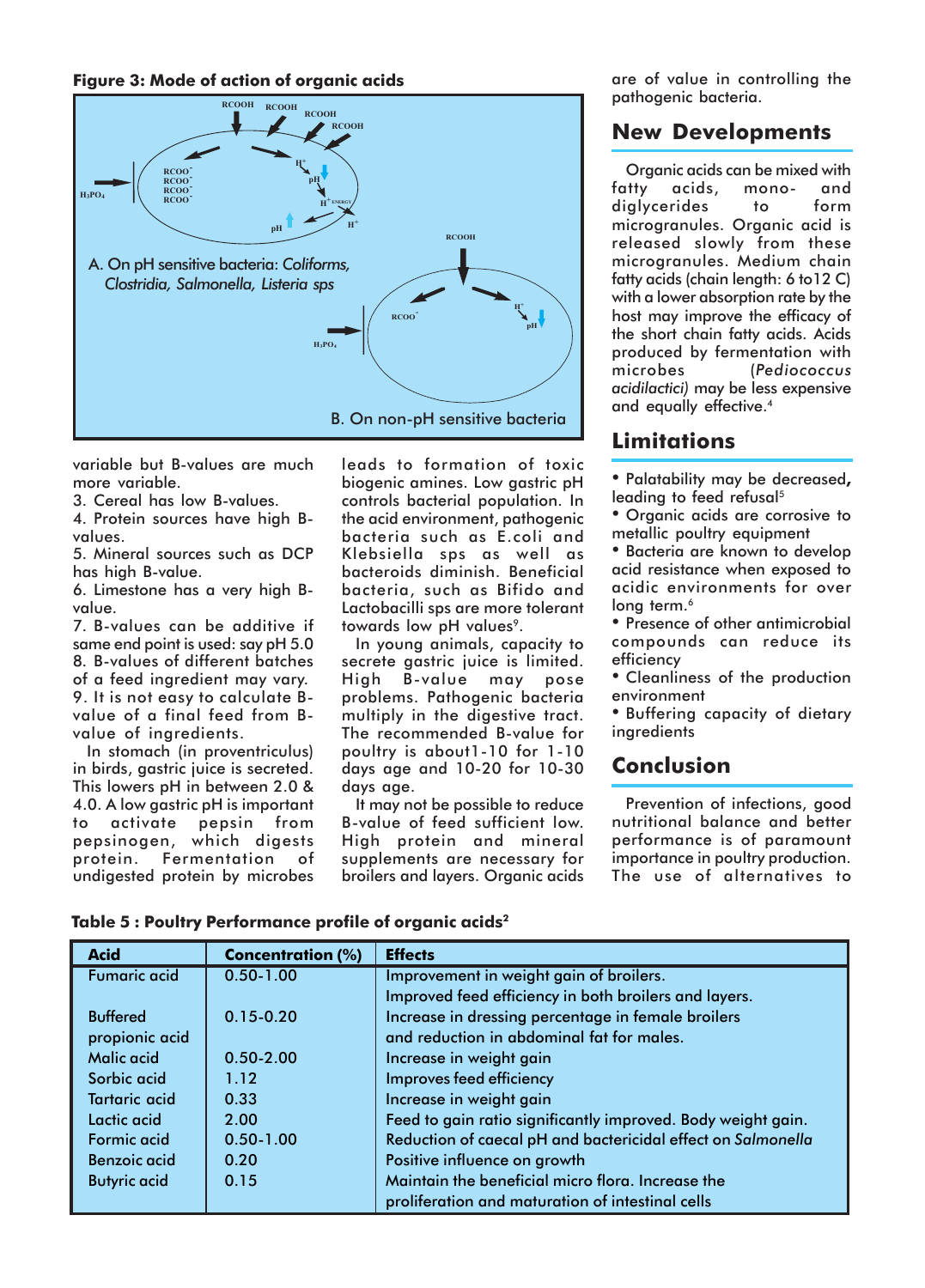#### **Figure 3: Mode of action of organic acids**



variable but B-values are much more variable.

3. Cereal has low B-values.

4. Protein sources have high Bvalues.

5. Mineral sources such as DCP has high B-value.

6. Limestone has a very high Bvalue.

7. B-values can be additive if same end point is used: say pH 5.0 8. B-values of different batches of a feed ingredient may vary. 9. It is not easy to calculate Bvalue of a final feed from Bvalue of ingredients.

In stomach (in proventriculus) in birds, gastric juice is secreted. This lowers pH in between 2.0 & 4.0. A low gastric pH is important to activate pepsin from pepsinogen, which digests protein. Fermentation of undigested protein by microbes

leads to formation of toxic biogenic amines. Low gastric pH controls bacterial population. In the acid environment, pathogenic bacteria such as E.coli and Klebsiella sps as well as bacteroids diminish. Beneficial bacteria, such as Bifido and Lactobacilli sps are more tolerant towards low pH values<sup>9</sup>.

In young animals, capacity to secrete gastric juice is limited. High B-value may pose problems. Pathogenic bacteria multiply in the digestive tract. The recommended B-value for poultry is about1-10 for 1-10 days age and 10-20 for 10-30 days age.

It may not be possible to reduce B-value of feed sufficient low. High protein and mineral supplements are necessary for broilers and layers. Organic acids

are of value in controlling the pathogenic bacteria.

# **New Developments**

Organic acids can be mixed with fatty acids, mono- and diglycerides to form microgranules. Organic acid is released slowly from these microgranules. Medium chain fatty acids (chain length: 6 to12 C) with a lower absorption rate by the host may improve the efficacy of the short chain fatty acids. Acids produced by fermentation with microbes (*Pediococcus acidilactici)* may be less expensive and equally effective.<sup>4</sup>

# **Limitations**

- ï Palatability may be decreased**,** leading to feed refusal<sup>5</sup>
- Organic acids are corrosive to metallic poultry equipment
- **Bacteria are known to develop** acid resistance when exposed to acidic environments for over long term.<sup>6</sup>
- Presence of other antimicrobial compounds can reduce its efficiency
- Cleanliness of the production environment
- **Buffering capacity of dietary ingredients**

# **Conclusion**

Prevention of infections, good nutritional balance and better performance is of paramount importance in poultry production. The use of alternatives to

| <b>Acid</b>          | <b>Concentration (%)</b> | <b>Effects</b>                                               |
|----------------------|--------------------------|--------------------------------------------------------------|
| <b>Fumaric acid</b>  | $0.50 - 1.00$            | Improvement in weight gain of broilers.                      |
|                      |                          | Improved feed efficiency in both broilers and layers.        |
| <b>Buffered</b>      | $0.15 - 0.20$            | Increase in dressing percentage in female broilers           |
| propionic acid       |                          | and reduction in abdominal fat for males.                    |
| <b>Malic acid</b>    | $0.50 - 2.00$            | Increase in weight gain                                      |
| Sorbic acid          | 1.12                     | Improves feed efficiency                                     |
| <b>Tartaric acid</b> | 0.33                     | Increase in weight gain                                      |
| Lactic acid          | 2.00                     | Feed to gain ratio significantly improved. Body weight gain. |
| <b>Formic acid</b>   | $0.50 - 1.00$            | Reduction of caecal pH and bactericidal effect on Salmonella |
| <b>Benzoic acid</b>  | 0.20                     | Positive influence on growth                                 |
| <b>Butyric acid</b>  | 0.15                     | Maintain the beneficial micro flora. Increase the            |
|                      |                          | proliferation and maturation of intestinal cells             |

**Table 5 : Poultry Performance profile of organic acids2**